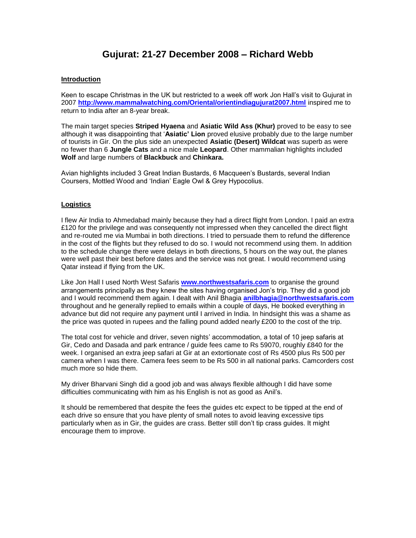# **Gujurat: 21-27 December 2008 – Richard Webb**

# **Introduction**

Keen to escape Christmas in the UK but restricted to a week off work Jon Hall's visit to Gujurat in 2007 **<http://www.mammalwatching.com/Oriental/orientindiagujurat2007.html>** inspired me to return to India after an 8-year break.

The main target species **Striped Hyaena** and **Asiatic Wild Ass (Khur)** proved to be easy to see although it was disappointing that '**Asiatic' Lion** proved elusive probably due to the large number of tourists in Gir. On the plus side an unexpected **Asiatic (Desert) Wildcat** was superb as were no fewer than 6 **Jungle Cats** and a nice male **Leopard**. Other mammalian highlights included **Wolf** and large numbers of **Blackbuck** and **Chinkara.**

Avian highlights included 3 Great Indian Bustards, 6 Macqueen's Bustards, several Indian Coursers, Mottled Wood and 'Indian' Eagle Owl & Grey Hypocolius.

## **Logistics**

I flew Air India to Ahmedabad mainly because they had a direct flight from London. I paid an extra £120 for the privilege and was consequently not impressed when they cancelled the direct flight and re-routed me via Mumbai in both directions. I tried to persuade them to refund the difference in the cost of the flights but they refused to do so. I would not recommend using them. In addition to the schedule change there were delays in both directions, 5 hours on the way out, the planes were well past their best before dates and the service was not great. I would recommend using Qatar instead if flying from the UK.

Like Jon Hall I used North West Safaris **[www.northwestsafaris.com](http://www.northwestsafaris.com/)** to organise the ground arrangements principally as they knew the sites having organised Jon's trip. They did a good job and I would recommend them again. I dealt with Anil Bhagia **[anilbhagia@northwestsafaris.com](mailto:anilbhagia@northwestsafaris.com)** throughout and he generally replied to emails within a couple of days, He booked everything in advance but did not require any payment until I arrived in India. In hindsight this was a shame as the price was quoted in rupees and the falling pound added nearly £200 to the cost of the trip.

The total cost for vehicle and driver, seven nights' accommodation, a total of 10 jeep safaris at Gir, Cedo and Dasada and park entrance / guide fees came to Rs 59070, roughly £840 for the week. I organised an extra jeep safari at Gir at an extortionate cost of Rs 4500 plus Rs 500 per camera when I was there. Camera fees seem to be Rs 500 in all national parks. Camcorders cost much more so hide them.

My driver Bharvani Singh did a good job and was always flexible although I did have some difficulties communicating with him as his English is not as good as Anil's.

It should be remembered that despite the fees the guides etc expect to be tipped at the end of each drive so ensure that you have plenty of small notes to avoid leaving excessive tips particularly when as in Gir, the guides are crass. Better still don't tip crass guides. It might encourage them to improve.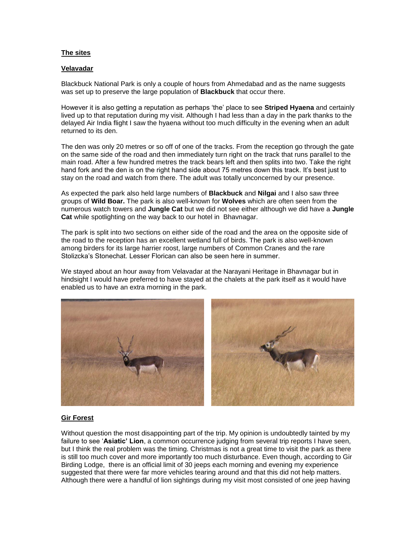## **The sites**

#### **Velavadar**

Blackbuck National Park is only a couple of hours from Ahmedabad and as the name suggests was set up to preserve the large population of **Blackbuck** that occur there.

However it is also getting a reputation as perhaps 'the' place to see **Striped Hyaena** and certainly lived up to that reputation during my visit. Although I had less than a day in the park thanks to the delayed Air India flight I saw the hyaena without too much difficulty in the evening when an adult returned to its den.

The den was only 20 metres or so off of one of the tracks. From the reception go through the gate on the same side of the road and then immediately turn right on the track that runs parallel to the main road. After a few hundred metres the track bears left and then splits into two. Take the right hand fork and the den is on the right hand side about 75 metres down this track. It's best just to stay on the road and watch from there. The adult was totally unconcerned by our presence.

As expected the park also held large numbers of **Blackbuck** and **Nilgai** and I also saw three groups of **Wild Boar.** The park is also well-known for **Wolves** which are often seen from the numerous watch towers and **Jungle Cat** but we did not see either although we did have a **Jungle Cat** while spotlighting on the way back to our hotel in Bhavnagar.

The park is split into two sections on either side of the road and the area on the opposite side of the road to the reception has an excellent wetland full of birds. The park is also well-known among birders for its large harrier roost, large numbers of Common Cranes and the rare Stolizcka's Stonechat. Lesser Florican can also be seen here in summer.

We stayed about an hour away from Velavadar at the Narayani Heritage in Bhavnagar but in hindsight I would have preferred to have stayed at the chalets at the park itself as it would have enabled us to have an extra morning in the park.



## **Gir Forest**

Without question the most disappointing part of the trip. My opinion is undoubtedly tainted by my failure to see '**Asiatic' Lion**, a common occurrence judging from several trip reports I have seen, but I think the real problem was the timing. Christmas is not a great time to visit the park as there is still too much cover and more importantly too much disturbance. Even though, according to Gir Birding Lodge, there is an official limit of 30 jeeps each morning and evening my experience suggested that there were far more vehicles tearing around and that this did not help matters. Although there were a handful of lion sightings during my visit most consisted of one jeep having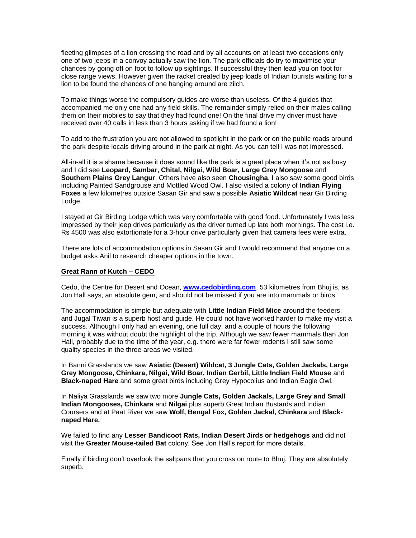fleeting glimpses of a lion crossing the road and by all accounts on at least two occasions only one of two jeeps in a convoy actually saw the lion. The park officials do try to maximise your chances by going off on foot to follow up sightings. If successful they then lead you on foot for close range views. However given the racket created by jeep loads of Indian tourists waiting for a lion to be found the chances of one hanging around are zilch.

To make things worse the compulsory guides are worse than useless. Of the 4 guides that accompanied me only one had any field skills. The remainder simply relied on their mates calling them on their mobiles to say that they had found one! On the final drive my driver must have received over 40 calls in less than 3 hours asking if we had found a lion!

To add to the frustration you are not allowed to spotlight in the park or on the public roads around the park despite locals driving around in the park at night. As you can tell I was not impressed.

All-in-all it is a shame because it does sound like the park is a great place when it's not as busy and I did see **Leopard, Sambar, Chital, Nilgai, Wild Boar, Large Grey Mongoose** and **Southern Plains Grey Langur**. Others have also seen **Chousingha**. I also saw some good birds including Painted Sandgrouse and Mottled Wood Owl. I also visited a colony of **Indian Flying Foxes** a few kilometres outside Sasan Gir and saw a possible **Asiatic Wildcat** near Gir Birding Lodge.

I stayed at Gir Birding Lodge which was very comfortable with good food. Unfortunately I was less impressed by their jeep drives particularly as the driver turned up late both mornings. The cost i.e. Rs 4500 was also extortionate for a 3-hour drive particularly given that camera fees were extra.

There are lots of accommodation options in Sasan Gir and I would recommend that anyone on a budget asks Anil to research cheaper options in the town.

#### **Great Rann of Kutch – CEDO**

Cedo, the Centre for Desert and Ocean, **[www.cedobirding.com](http://www.cedobirding.com/)**, 53 kilometres from Bhuj is, as Jon Hall says, an absolute gem, and should not be missed if you are into mammals or birds.

The accommodation is simple but adequate with **Little Indian Field Mice** around the feeders, and Jugal Tiwari is a superb host and guide. He could not have worked harder to make my visit a success. Although I only had an evening, one full day, and a couple of hours the following morning it was without doubt the highlight of the trip. Although we saw fewer mammals than Jon Hall, probably due to the time of the year, e.g. there were far fewer rodents I still saw some quality species in the three areas we visited.

In Banni Grasslands we saw **Asiatic (Desert) Wildcat, 3 Jungle Cats, Golden Jackals, Large Grey Mongoose, Chinkara, Nilgai, Wild Boar, Indian Gerbil, Little Indian Field Mouse** and **Black-naped Hare** and some great birds including Grey Hypocolius and Indian Eagle Owl.

In Naliya Grasslands we saw two more **Jungle Cats, Golden Jackals, Large Grey and Small Indian Mongooses, Chinkara** and **Nilgai** plus superb Great Indian Bustards and Indian Coursers and at Paat River we saw **Wolf, Bengal Fox, Golden Jackal, Chinkara** and **Blacknaped Hare.**

We failed to find any **Lesser Bandicoot Rats, Indian Desert Jirds or hedgehogs** and did not visit the **Greater Mouse-tailed Bat** colony. See Jon Hall's report for more details.

Finally if birding don't overlook the saltpans that you cross on route to Bhuj. They are absolutely superb.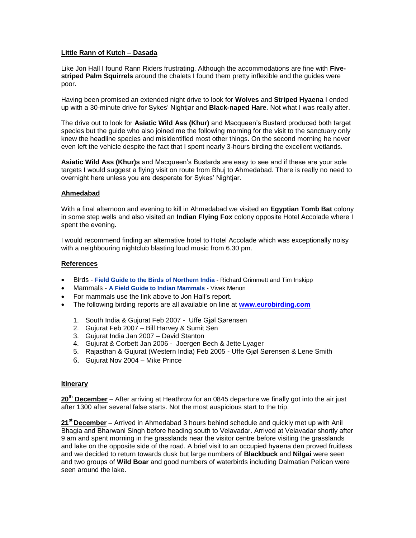# **Little Rann of Kutch – Dasada**

Like Jon Hall I found Rann Riders frustrating. Although the accommodations are fine with **Fivestriped Palm Squirrels** around the chalets I found them pretty inflexible and the guides were poor.

Having been promised an extended night drive to look for **Wolves** and **Striped Hyaena** I ended up with a 30-minute drive for Sykes' Nightjar and **Black-naped Hare**. Not what I was really after.

The drive out to look for **Asiatic Wild Ass (Khur)** and Macqueen's Bustard produced both target species but the guide who also joined me the following morning for the visit to the sanctuary only knew the headline species and misidentified most other things. On the second morning he never even left the vehicle despite the fact that I spent nearly 3-hours birding the excellent wetlands.

**Asiatic Wild Ass (Khur)s** and Macqueen's Bustards are easy to see and if these are your sole targets I would suggest a flying visit on route from Bhuj to Ahmedabad. There is really no need to overnight here unless you are desperate for Sykes' Nightjar.

## **Ahmedabad**

With a final afternoon and evening to kill in Ahmedabad we visited an **Egyptian Tomb Bat** colony in some step wells and also visited an **Indian Flying Fox** colony opposite Hotel Accolade where I spent the evening.

I would recommend finding an alternative hotel to Hotel Accolade which was exceptionally noisy with a neighbouring nightclub blasting loud music from 6.30 pm.

# **References**

- Birds **[Field Guide to the Birds of Northern India](http://www.nhbs.com/catalogue/display/t=124593)** Richard Grimmett and Tim Inskipp
- Mammals **[A Field Guide to Indian Mammals](http://www.nhbs.com/catalogue/display/t=145900)** Vivek Menon
- For mammals use the link above to Jon Hall's report.
- The following birding reports are all available on line at **[www.eurobirding.com](http://www.eurobirding.com/)**
	- 1. South India & Gujurat Feb 2007 Uffe Gjøl Sørensen
	- 2. Gujurat Feb 2007 Bill Harvey & Sumit Sen
	- 3. Gujurat India Jan 2007 David Stanton
	- 4. Gujurat & Corbett Jan 2006 Joergen Bech & Jette Lyager
	- 5. Rajasthan & Gujurat (Western India) Feb 2005 Uffe Gjøl Sørensen & Lene Smith
	- 6. Gujurat Nov 2004 Mike Prince

## **Itinerary**

**20th December** – After arriving at Heathrow for an 0845 departure we finally got into the air just after 1300 after several false starts. Not the most auspicious start to the trip.

**21st December** – Arrived in Ahmedabad 3 hours behind schedule and quickly met up with Anil Bhagia and Bharwani Singh before heading south to Velavadar. Arrived at Velavadar shortly after 9 am and spent morning in the grasslands near the visitor centre before visiting the grasslands and lake on the opposite side of the road. A brief visit to an occupied hyaena den proved fruitless and we decided to return towards dusk but large numbers of **Blackbuck** and **Nilgai** were seen and two groups of **Wild Boar** and good numbers of waterbirds including Dalmatian Pelican were seen around the lake.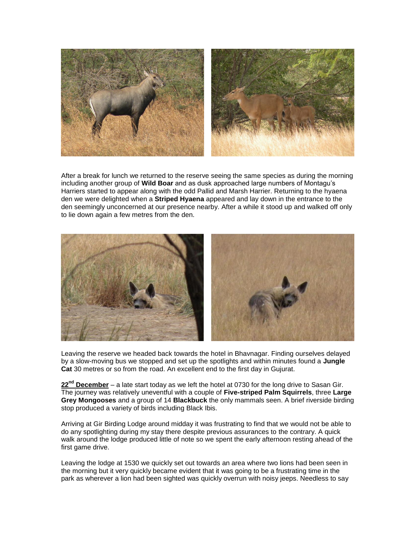

After a break for lunch we returned to the reserve seeing the same species as during the morning including another group of **Wild Boar** and as dusk approached large numbers of Montagu's Harriers started to appear along with the odd Pallid and Marsh Harrier. Returning to the hyaena den we were delighted when a **Striped Hyaena** appeared and lay down in the entrance to the den seemingly unconcerned at our presence nearby. After a while it stood up and walked off only to lie down again a few metres from the den.



Leaving the reserve we headed back towards the hotel in Bhavnagar. Finding ourselves delayed by a slow-moving bus we stopped and set up the spotlights and within minutes found a **Jungle Cat** 30 metres or so from the road. An excellent end to the first day in Gujurat.

**22 nd December** – a late start today as we left the hotel at 0730 for the long drive to Sasan Gir. The journey was relatively uneventful with a couple of **Five-striped Palm Squirrels**, three **Large Grey Mongooses** and a group of 14 **Blackbuck** the only mammals seen. A brief riverside birding stop produced a variety of birds including Black Ibis.

Arriving at Gir Birding Lodge around midday it was frustrating to find that we would not be able to do any spotlighting during my stay there despite previous assurances to the contrary. A quick walk around the lodge produced little of note so we spent the early afternoon resting ahead of the first game drive.

Leaving the lodge at 1530 we quickly set out towards an area where two lions had been seen in the morning but it very quickly became evident that it was going to be a frustrating time in the park as wherever a lion had been sighted was quickly overrun with noisy jeeps. Needless to say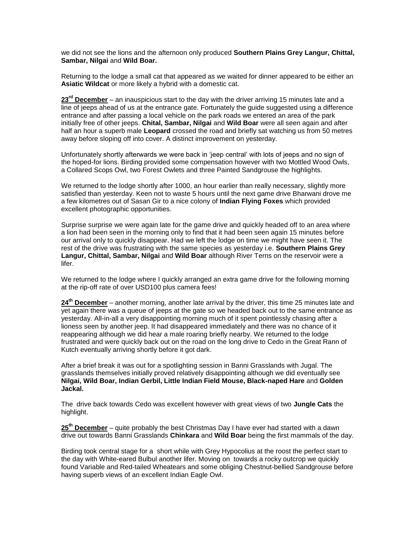we did not see the lions and the afternoon only produced **Southern Plains Grey Langur, Chittal, Sambar, Nilgai** and **Wild Boar.**

Returning to the lodge a small cat that appeared as we waited for dinner appeared to be either an **Asiatic Wildcat** or more likely a hybrid with a domestic cat.

**23rd December** – an inauspicious start to the day with the driver arriving 15 minutes late and a line of jeeps ahead of us at the entrance gate. Fortunately the guide suggested using a difference entrance and after passing a local vehicle on the park roads we entered an area of the park initially free of other jeeps. **Chital, Sambar, Nilgai** and **Wild Boar** were all seen again and after half an hour a superb male **Leopard** crossed the road and briefly sat watching us from 50 metres away before sloping off into cover. A distinct improvement on yesterday.

Unfortunately shortly afterwards we were back in 'jeep central' with lots of jeeps and no sign of the hoped-for lions. Birding provided some compensation however with two Mottled Wood Owls, a Collared Scops Owl, two Forest Owlets and three Painted Sandgrouse the highlights.

We returned to the lodge shortly after 1000, an hour earlier than really necessary, slightly more satisfied than yesterday. Keen not to waste 5 hours until the next game drive Bharwani drove me a few kilometres out of Sasan Gir to a nice colony of **Indian Flying Foxes** which provided excellent photographic opportunities.

Surprise surprise we were again late for the game drive and quickly headed off to an area where a lion had been seen in the morning only to find that it had been seen again 15 minutes before our arrival only to quickly disappear. Had we left the lodge on time we might have seen it. The rest of the drive was frustrating with the same species as yesterday i.e. **Southern Plains Grey Langur, Chittal, Sambar, Nilgai** and **Wild Boar** although River Terns on the reservoir were a lifer.

We returned to the lodge where I quickly arranged an extra game drive for the following morning at the rip-off rate of over USD100 plus camera fees!

**24th December** – another morning, another late arrival by the driver, this time 25 minutes late and yet again there was a queue of jeeps at the gate so we headed back out to the same entrance as yesterday. All-in-all a very disappointing morning much of it spent pointlessly chasing after a lioness seen by another jeep. It had disappeared immediately and there was no chance of it reappearing although we did hear a male roaring briefly nearby. We returned to the lodge frustrated and were quickly back out on the road on the long drive to Cedo in the Great Rann of Kutch eventually arriving shortly before it got dark.

After a brief break it was out for a spotlighting session in Banni Grasslands with Jugal. The grasslands themselves initially proved relatively disappointing although we did eventually see **Nilgai, Wild Boar, Indian Gerbil, Little Indian Field Mouse, Black-naped Hare** and **Golden Jackal.**

The drive back towards Cedo was excellent however with great views of two **Jungle Cats** the highlight.

**25th December** – quite probably the best Christmas Day I have ever had started with a dawn drive out towards Banni Grasslands **Chinkara** and **Wild Boar** being the first mammals of the day.

Birding took central stage for a short while with Grey Hypocolius at the roost the perfect start to the day with White-eared Bulbul another lifer. Moving on towards a rocky outcrop we quickly found Variable and Red-tailed Wheatears and some obliging Chestnut-bellied Sandgrouse before having superb views of an excellent Indian Eagle Owl.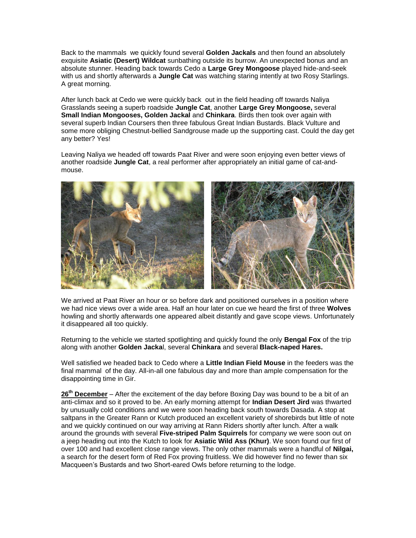Back to the mammals we quickly found several **Golden Jackals** and then found an absolutely exquisite **Asiatic (Desert) Wildcat** sunbathing outside its burrow. An unexpected bonus and an absolute stunner. Heading back towards Cedo a **Large Grey Mongoose** played hide-and-seek with us and shortly afterwards a **Jungle Cat** was watching staring intently at two Rosy Starlings. A great morning.

After lunch back at Cedo we were quickly back out in the field heading off towards Naliya Grasslands seeing a superb roadside **Jungle Cat**, another **Large Grey Mongoose,** several **Small Indian Mongooses, Golden Jackal** and **Chinkara**. Birds then took over again with several superb Indian Coursers then three fabulous Great Indian Bustards. Black Vulture and some more obliging Chestnut-bellied Sandgrouse made up the supporting cast. Could the day get any better? Yes!

Leaving Naliya we headed off towards Paat River and were soon enjoying even better views of another roadside **Jungle Cat**, a real performer after appropriately an initial game of cat-andmouse.



We arrived at Paat River an hour or so before dark and positioned ourselves in a position where we had nice views over a wide area. Half an hour later on cue we heard the first of three **Wolves** howling and shortly afterwards one appeared albeit distantly and gave scope views. Unfortunately it disappeared all too quickly.

Returning to the vehicle we started spotlighting and quickly found the only **Bengal Fox** of the trip along with another **Golden Jacka**l, several **Chinkara** and several **Black-naped Hares.**

Well satisfied we headed back to Cedo where a **Little Indian Field Mouse** in the feeders was the final mammal of the day. All-in-all one fabulous day and more than ample compensation for the disappointing time in Gir.

**26th December** – After the excitement of the day before Boxing Day was bound to be a bit of an anti-climax and so it proved to be. An early morning attempt for **Indian Desert Jird** was thwarted by unusually cold conditions and we were soon heading back south towards Dasada. A stop at saltpans in the Greater Rann or Kutch produced an excellent variety of shorebirds but little of note and we quickly continued on our way arriving at Rann Riders shortly after lunch. After a walk around the grounds with several **Five-striped Palm Squirrels** for company we were soon out on a jeep heading out into the Kutch to look for **Asiatic Wild Ass (Khur)**. We soon found our first of over 100 and had excellent close range views. The only other mammals were a handful of **Nilgai,**  a search for the desert form of Red Fox proving fruitless. We did however find no fewer than six Macqueen's Bustards and two Short-eared Owls before returning to the lodge.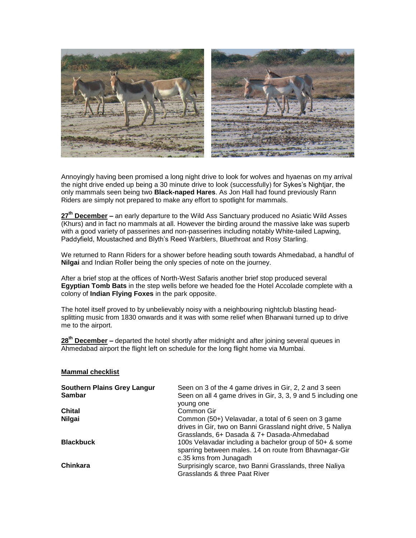

Annoyingly having been promised a long night drive to look for wolves and hyaenas on my arrival the night drive ended up being a 30 minute drive to look (successfully) for Sykes's Nightjar, the only mammals seen being two **Black-naped Hares**. As Jon Hall had found previously Rann Riders are simply not prepared to make any effort to spotlight for mammals.

**27th December –** an early departure to the Wild Ass Sanctuary produced no Asiatic Wild Asses (Khurs) and in fact no mammals at all. However the birding around the massive lake was superb with a good variety of passerines and non-passerines including notably White-tailed Lapwing, Paddyfield, Moustached and Blyth's Reed Warblers, Bluethroat and Rosy Starling.

We returned to Rann Riders for a shower before heading south towards Ahmedabad, a handful of **Nilgai** and Indian Roller being the only species of note on the journey.

After a brief stop at the offices of North-West Safaris another brief stop produced several **Egyptian Tomb Bats** in the step wells before we headed foe the Hotel Accolade complete with a colony of **Indian Flying Foxes** in the park opposite.

The hotel itself proved to by unbelievably noisy with a neighbouring nightclub blasting headsplitting music from 1830 onwards and it was with some relief when Bharwani turned up to drive me to the airport.

**28th December –** departed the hotel shortly after midnight and after joining several queues in Ahmedabad airport the flight left on schedule for the long flight home via Mumbai.

#### **Mammal checklist**

| <b>Southern Plains Grey Langur</b><br><b>Sambar</b> | Seen on 3 of the 4 game drives in Gir, 2, 2 and 3 seen<br>Seen on all 4 game drives in Gir, 3, 3, 9 and 5 including one<br>young one                              |
|-----------------------------------------------------|-------------------------------------------------------------------------------------------------------------------------------------------------------------------|
| <b>Chital</b>                                       | Common Gir                                                                                                                                                        |
| <b>Nilgai</b>                                       | Common (50+) Velavadar, a total of 6 seen on 3 game<br>drives in Gir, two on Banni Grassland night drive, 5 Naliya<br>Grasslands, 6+ Dasada & 7+ Dasada-Ahmedabad |
| <b>Blackbuck</b>                                    | 100s Velavadar including a bachelor group of 50+ & some<br>sparring between males. 14 on route from Bhavnagar-Gir<br>c.35 kms from Junagadh                       |
| Chinkara                                            | Surprisingly scarce, two Banni Grasslands, three Naliya<br>Grasslands & three Paat River                                                                          |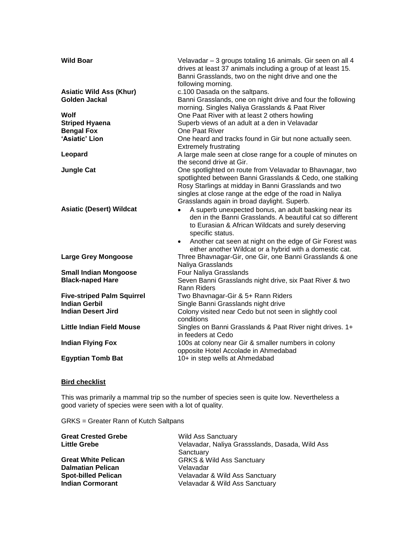| <b>Wild Boar</b>                                | Velavadar - 3 groups totaling 16 animals. Gir seen on all 4<br>drives at least 37 animals including a group of at least 15.<br>Banni Grasslands, two on the night drive and one the<br>following morning.                                                                                 |
|-------------------------------------------------|-------------------------------------------------------------------------------------------------------------------------------------------------------------------------------------------------------------------------------------------------------------------------------------------|
| <b>Asiatic Wild Ass (Khur)</b><br>Golden Jackal | c.100 Dasada on the saltpans.<br>Banni Grasslands, one on night drive and four the following<br>morning. Singles Naliya Grasslands & Paat River                                                                                                                                           |
| Wolf                                            | One Paat River with at least 2 others howling                                                                                                                                                                                                                                             |
| <b>Striped Hyaena</b>                           | Superb views of an adult at a den in Velavadar                                                                                                                                                                                                                                            |
| <b>Bengal Fox</b>                               | One Paat River                                                                                                                                                                                                                                                                            |
| 'Asiatic' Lion                                  | One heard and tracks found in Gir but none actually seen.<br><b>Extremely frustrating</b>                                                                                                                                                                                                 |
| Leopard                                         | A large male seen at close range for a couple of minutes on<br>the second drive at Gir.                                                                                                                                                                                                   |
| <b>Jungle Cat</b>                               | One spotlighted on route from Velavadar to Bhavnagar, two<br>spotlighted between Banni Grasslands & Cedo, one stalking<br>Rosy Starlings at midday in Banni Grasslands and two<br>singles at close range at the edge of the road in Naliya<br>Grasslands again in broad daylight. Superb. |
| <b>Asiatic (Desert) Wildcat</b>                 | A superb unexpected bonus, an adult basking near its<br>$\bullet$<br>den in the Banni Grasslands. A beautiful cat so different<br>to Eurasian & African Wildcats and surely deserving<br>specific status.<br>Another cat seen at night on the edge of Gir Forest was<br>$\bullet$         |
| <b>Large Grey Mongoose</b>                      | either another Wildcat or a hybrid with a domestic cat.<br>Three Bhavnagar-Gir, one Gir, one Banni Grasslands & one<br>Naliya Grasslands                                                                                                                                                  |
| <b>Small Indian Mongoose</b>                    | Four Naliya Grasslands                                                                                                                                                                                                                                                                    |
| <b>Black-naped Hare</b>                         | Seven Banni Grasslands night drive, six Paat River & two<br><b>Rann Riders</b>                                                                                                                                                                                                            |
| <b>Five-striped Palm Squirrel</b>               | Two Bhavnagar-Gir & 5+ Rann Riders                                                                                                                                                                                                                                                        |
| <b>Indian Gerbil</b>                            | Single Banni Grasslands night drive                                                                                                                                                                                                                                                       |
| <b>Indian Desert Jird</b>                       | Colony visited near Cedo but not seen in slightly cool<br>conditions                                                                                                                                                                                                                      |
| <b>Little Indian Field Mouse</b>                | Singles on Banni Grasslands & Paat River night drives. 1+<br>in feeders at Cedo                                                                                                                                                                                                           |
| <b>Indian Flying Fox</b>                        | 100s at colony near Gir & smaller numbers in colony<br>opposite Hotel Accolade in Ahmedabad                                                                                                                                                                                               |
| <b>Egyptian Tomb Bat</b>                        | 10+ in step wells at Ahmedabad                                                                                                                                                                                                                                                            |

# **Bird checklist**

This was primarily a mammal trip so the number of species seen is quite low. Nevertheless a good variety of species were seen with a lot of quality.

GRKS = Greater Rann of Kutch Saltpans

| <b>Great Crested Grebe</b> | <b>Wild Ass Sanctuary</b>                       |
|----------------------------|-------------------------------------------------|
| <b>Little Grebe</b>        | Velavadar, Naliya Grassslands, Dasada, Wild Ass |
|                            | Sanctuary                                       |
| <b>Great White Pelican</b> | <b>GRKS &amp; Wild Ass Sanctuary</b>            |
| <b>Dalmatian Pelican</b>   | Velavadar                                       |
| <b>Spot-billed Pelican</b> | Velavadar & Wild Ass Sanctuary                  |
| <b>Indian Cormorant</b>    | Velavadar & Wild Ass Sanctuary                  |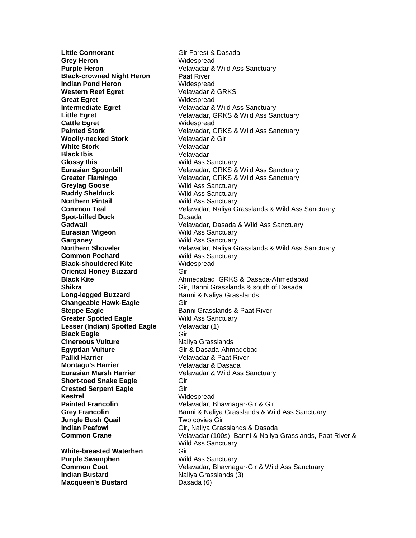**Little Cormorant** Gir Forest & Dasada **Grey Heron** Widespread **Black-crowned Night Heron** Paat River **Indian Pond Heron** Widespread **Western Reef Egret** Velavadar & GRKS **Great Egret** Widespread **Cattle Egret** Widespread **Woolly-necked Stork** Velavadar & Gir **White Stork** Velavadar **Black Ibis** Velavadar **Glossy Ibis** Wild Ass Sanctuary **Greylag Goose** Wild Ass Sanctuary **Ruddy Shelduck** Wild Ass Sanctuary **Northern Pintail Markt Common Teal Common Teal Common Common Common Velavadar. Naliva G**<br> **Common Teal Markt Common Teal Common Teal Common Teal Common Teal Common Common Common Common Common Common Commo Spot-billed Duck** Dasada **Eurasian Wigeon** Wild Ass Sanctuary **Garganey** Wild Ass Sanctuary **Common Pochard** Wild Ass Sanctuary **Black-shouldered Kite** Widespread **Oriental Honey Buzzard Gir** Long-legged Buzzard **Banni & Naliya Grasslands Changeable Hawk-Eagle Gir Greater Spotted Eagle** Wild Ass Sanctuary **Lesser (Indian) Spotted Eagle** Velavadar (1) **Black Eagle** Gir **Cinereous Vulture Naliya Grasslands Egyptian Vulture** Gir & Dasada-Ahmadebad **Pallid Harrier** Velavadar & Paat River **Montagu's Harrier Velavadar & Dasada Short-toed Snake Eagle Gir Crested Serpent Eagle Gir** Kestrel Widespread **Jungle Bush Quail** Two covies Gir **White-breasted Waterhen Gir Purple Swamphen** Wild Ass Sanctuary

**Purple Heron Contract Contract Contract Velavadar & Wild Ass Sanctuary Intermediate Egret** Velavadar & Wild Ass Sanctuary **Little Egret** Velavadar, GRKS & Wild Ass Sanctuary **Painted Stork** Velavadar, GRKS & Wild Ass Sanctuary **Eurasian Spoonbill** Velavadar, GRKS & Wild Ass Sanctuary **Greater Flamingo** Velavadar, GRKS & Wild Ass Sanctuary Velavadar, Naliya Grasslands & Wild Ass Sanctuary **Gadwall** Velavadar, Dasada & Wild Ass Sanctuary **Northern Shoveler** Velavadar, Naliya Grasslands & Wild Ass Sanctuary **Black Kite** Ahmedabad, GRKS & Dasada-Ahmedabad **Shikra** Gir, Banni Grasslands & south of Dasada **Steppe Eagle** Banni Grasslands & Paat River **Eurasian Marsh Harrier** Velavadar & Wild Ass Sanctuary **Painted Francolin** Velavadar, Bhavnagar-Gir & Gir **Grey Francolin** Banni & Naliya Grasslands & Wild Ass Sanctuary **Indian Peafowl Gir, Naliya Grasslands & Dasada Common Crane** Velavadar (100s), Banni & Naliya Grasslands, Paat River & Wild Ass Sanctuary **Common Coot** Velavadar, Bhavnagar-Gir & Wild Ass Sanctuary **Indian Bustard** Naliya Grasslands (3) **Macqueen's Bustard Dasada (6)**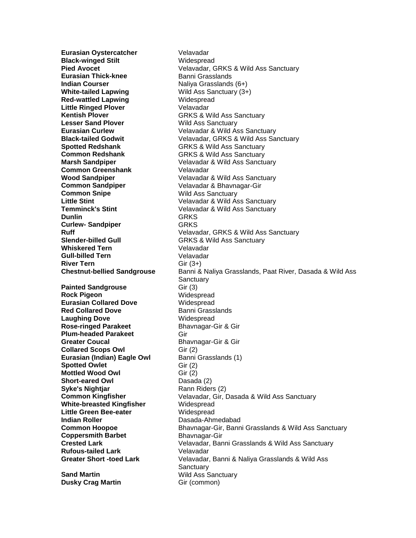**Eurasian Oystercatcher Velavadar Black-winged Stilt** Widespread **Eurasian Thick-knee** Banni Grasslands **Indian Courser** Naliya Grasslands (6+) **White-tailed Lapwing** Wild Ass Sanctuary (3+) **Red-wattled Lapwing Midespread Widespread Little Ringed Plover** Velavadar **Kentish Plover** GRKS & Wild Ass Sanctuary<br>
Lesser Sand Plover Games Wild Ass Sanctuary **Spotted Redshank** GRKS & Wild Ass Sanctuary **Common Redshank GRKS & Wild Ass Sanctuary Common Greenshank Velavadar Common Sandpiper** Velavadar & Bhavnagar-Gir **Common Snipe** Wild Ass Sanctuary **Dunlin** GRKS **Curlew-Sandpiper GRKS Slender-billed Gull** GRKS & Wild Ass Sanctuary **Whiskered Tern** Velavadar **Gull-billed Tern** Velavadar **River Tern** Gir (3+) **Painted Sandgrouse** Gir (3) **Rock Pigeon** Widespread **Eurasian Collared Dove** Widespread **Red Collared Dove** Banni Grasslands **Laughing Dove** Widespread **Rose-ringed Parakeet** Bhavnagar-Gir & Gir **Plum-headed Parakeet** Gir **Greater Coucal** Bhavnagar-Gir & Gir **Collared Scops Owl** Gir (2)<br>**Eurasian (Indian) Eagle Owl** Banni Grasslands (1) **Eurasian (Indian) Eagle Owl Spotted Owlet** Gir (2) **Mottled Wood Owl** Gir (2) **Short-eared Owl** Dasada (2) **Syke's Nightjar** Rann Riders (2) **White-breasted Kingfisher** Widespread **Little Green Bee-eater** Widespread **Indian Roller Dasada-Ahmedabad Coppersmith Barbet** Bhavnagar-Gir **Rufous-tailed Lark** Velavadar

**Dusky Crag Martin** Gir (common)

**Pied Avocet** Velavadar, GRKS & Wild Ass Sanctuary **Wild Ass Sanctuary Eurasian Curlew Curlew** Velavadar & Wild Ass Sanctuary **Black-tailed Godwit** Velavadar, GRKS & Wild Ass Sanctuary **Marsh Sandpiper** Velavadar & Wild Ass Sanctuary **Wood Sandpiper** Velavadar & Wild Ass Sanctuary **Little Stint** Velavadar & Wild Ass Sanctuary Velavadar & Wild Ass Sanctuary **Ruff** Velavadar, GRKS & Wild Ass Sanctuary **Chestnut-bellied Sandgrouse** Banni & Naliya Grasslands, Paat River, Dasada & Wild Ass Sanctuary **Common Kingfisher** Velavadar, Gir, Dasada & Wild Ass Sanctuary **Common Hoopoe** Bhavnagar-Gir, Banni Grasslands & Wild Ass Sanctuary **Crested Lark** Velavadar, Banni Grasslands & Wild Ass Sanctuary **Greater Short -toed Lark** Velavadar, Banni & Naliya Grasslands & Wild Ass **Sanctuary Sand Martin** Wild Ass Sanctuary